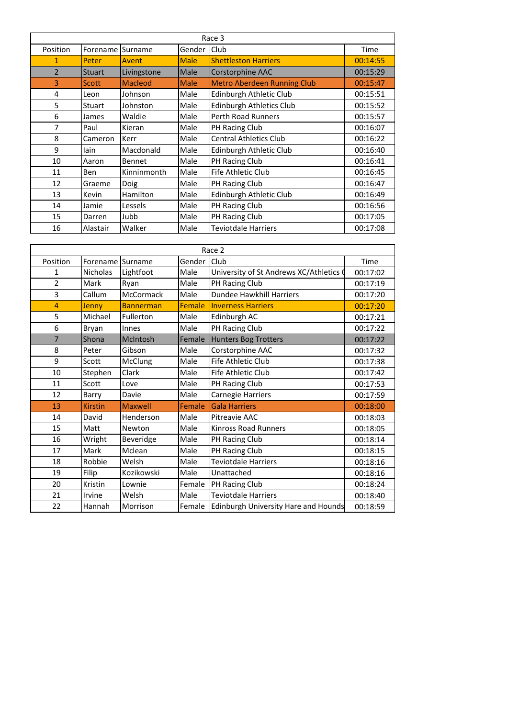| Race 3         |               |                |             |                                    |             |  |  |
|----------------|---------------|----------------|-------------|------------------------------------|-------------|--|--|
| Position       | Forename      | Surname        | Gender      | <b>Club</b>                        | <b>Time</b> |  |  |
| 1              | Peter         | Avent          | <b>Male</b> | <b>Shettleston Harriers</b>        | 00:14:55    |  |  |
| $\overline{2}$ | <b>Stuart</b> | Livingstone    | Male        | Corstorphine AAC                   | 00:15:29    |  |  |
| $\overline{3}$ | <b>Scott</b>  | <b>Macleod</b> | <b>Male</b> | <b>Metro Aberdeen Running Club</b> | 00:15:47    |  |  |
| $\overline{4}$ | Leon          | Johnson        | Male        | Edinburgh Athletic Club            | 00:15:51    |  |  |
| 5              | <b>Stuart</b> | Johnston       | Male        | <b>Edinburgh Athletics Club</b>    | 00:15:52    |  |  |
| 6              | James         | Waldie         | Male        | <b>Perth Road Runners</b>          | 00:15:57    |  |  |
| 7              | Paul          | Kieran         | Male        | <b>PH Racing Club</b>              | 00:16:07    |  |  |
| 8              | Cameron       | Kerr           | Male        | <b>Central Athletics Club</b>      | 00:16:22    |  |  |
| 9              | lain          | Macdonald      | Male        | Edinburgh Athletic Club            | 00:16:40    |  |  |
| 10             | Aaron         | <b>Bennet</b>  | Male        | <b>PH Racing Club</b>              | 00:16:41    |  |  |
| 11             | <b>Ben</b>    | Kinninmonth    | Male        | <b>Fife Athletic Club</b>          | 00:16:45    |  |  |
| 12             | Graeme        | <b>Doig</b>    | Male        | <b>PH Racing Club</b>              | 00:16:47    |  |  |
| 13             | Kevin         | Hamilton       | Male        | Edinburgh Athletic Club            | 00:16:49    |  |  |
| 14             | Jamie         | Lessels        | Male        | <b>PH Racing Club</b>              | 00:16:56    |  |  |
| 15             | Darren        | Jubb           | Male        | <b>PH Racing Club</b>              | 00:17:05    |  |  |
| 16             | Alastair      | Walker         | Male        | <b>Teviotdale Harriers</b>         | 00:17:08    |  |  |

| Race 2         |                |                  |               |                                             |          |  |  |
|----------------|----------------|------------------|---------------|---------------------------------------------|----------|--|--|
| Position       | Forename       | <b>Surname</b>   | Gender        | Club                                        | Time     |  |  |
| 1              | Nicholas       | Lightfoot        | Male          | University of St Andrews XC/Athletics (     | 00:17:02 |  |  |
| $\overline{2}$ | Mark           | Ryan             | Male          | PH Racing Club                              | 00:17:19 |  |  |
| $\overline{3}$ | Callum         | <b>McCormack</b> | Male          | <b>Dundee Hawkhill Harriers</b>             | 00:17:20 |  |  |
| 4              | Jenny          | <b>Bannerman</b> | <b>Female</b> | <b>Inverness Harriers</b>                   | 00:17:20 |  |  |
| 5              | Michael        | Fullerton        | Male          | Edinburgh AC                                | 00:17:21 |  |  |
| 6              | <b>Bryan</b>   | Innes            | Male          | PH Racing Club                              | 00:17:22 |  |  |
| $\overline{7}$ | Shona          | McIntosh         | Female        | Hunters Bog Trotters                        | 00:17:22 |  |  |
| 8              | Peter          | Gibson           | Male          | Corstorphine AAC                            | 00:17:32 |  |  |
| 9              | <b>Scott</b>   | <b>McClung</b>   | Male          | Fife Athletic Club                          | 00:17:38 |  |  |
| 10             | Stephen        | Clark            | Male          | <b>Fife Athletic Club</b>                   | 00:17:42 |  |  |
| 11             | Scott          | Love             | Male          | PH Racing Club                              | 00:17:53 |  |  |
| 12             | Barry          | Davie            | Male          | <b>Carnegie Harriers</b>                    | 00:17:59 |  |  |
| 13             | <b>Kirstin</b> | <b>Maxwell</b>   | Female        | <b>Gala Harriers</b>                        | 00:18:00 |  |  |
| 14             | David          | Henderson        | Male          | <b>Pitreavie AAC</b>                        | 00:18:03 |  |  |
| 15             | Matt           | Newton           | Male          | <b>Kinross Road Runners</b>                 | 00:18:05 |  |  |
| 16             | Wright         | <b>Beveridge</b> | Male          | PH Racing Club                              | 00:18:14 |  |  |
| 17             | Mark           | Mclean           | Male          | PH Racing Club                              | 00:18:15 |  |  |
| 18             | Robbie         | Welsh            | Male          | <b>Teviotdale Harriers</b>                  | 00:18:16 |  |  |
| 19             | Filip          | Kozikowski       | Male          | Unattached                                  | 00:18:16 |  |  |
| 20             | Kristin        | Lownie           | Female        | <b>PH Racing Club</b>                       | 00:18:24 |  |  |
| 21             | Irvine         | Welsh            | Male          | <b>Teviotdale Harriers</b>                  | 00:18:40 |  |  |
| 22             | Hannah         | Morrison         | Female        | <b>Edinburgh University Hare and Hounds</b> | 00:18:59 |  |  |